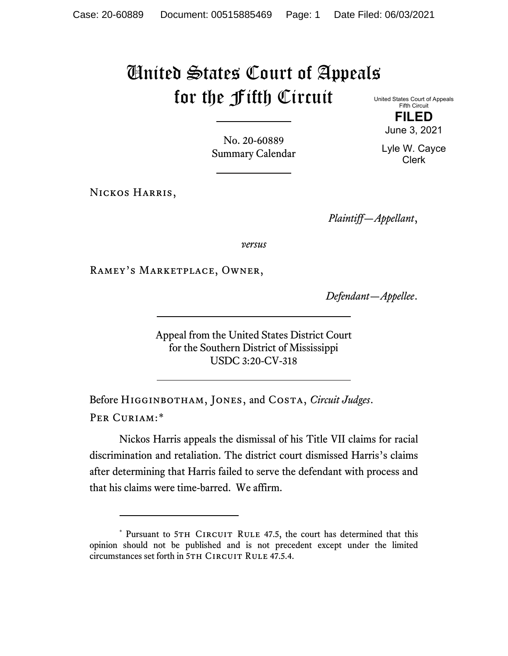## United States Court of Appeals for the Fifth Circuit

United States Court of Appeals Fifth Circuit **FILED**

No. 20-60889 Summary Calendar

Nickos Harris,

*Plaintiff—Appellant*,

*versus*

Ramey's Marketplace, Owner,

*Defendant—Appellee*.

Appeal from the United States District Court for the Southern District of Mississippi USDC 3:20-CV-318

Before Higginbotham, Jones, and Costa, *Circuit Judges*. Per Curiam:[\\*](#page-0-0)

Nickos Harris appeals the dismissal of his Title VII claims for racial discrimination and retaliation. The district court dismissed Harris's claims after determining that Harris failed to serve the defendant with process and that his claims were time-barred. We affirm.

June 3, 2021 Lyle W. Cayce

Clerk

<span id="page-0-0"></span><sup>\*</sup> Pursuant to 5TH CIRCUIT RULE 47.5, the court has determined that this opinion should not be published and is not precedent except under the limited circumstances set forth in 5TH CIRCUIT RULE 47.5.4.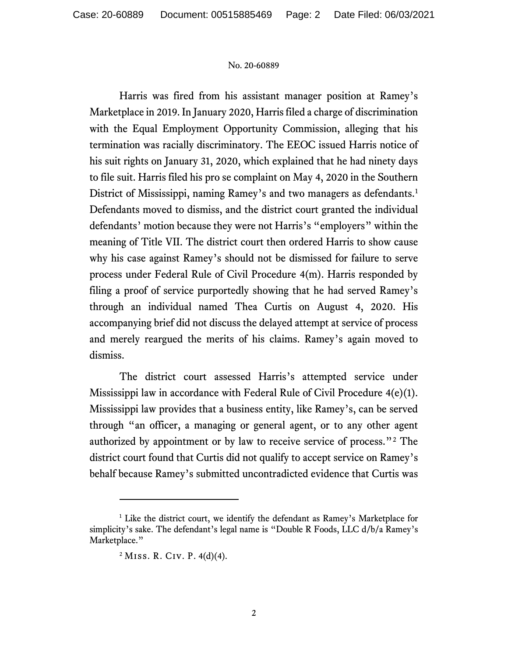## No. 20-60889

Harris was fired from his assistant manager position at Ramey's Marketplace in 2019. In January 2020, Harris filed a charge of discrimination with the Equal Employment Opportunity Commission, alleging that his termination was racially discriminatory. The EEOC issued Harris notice of his suit rights on January 31, 2020, which explained that he had ninety days to file suit. Harris filed his pro se complaint on May 4, 2020 in the Southern District of Mississippi, naming Ramey's and two managers as defendants. [1](#page-1-0) Defendants moved to dismiss, and the district court granted the individual defendants' motion because they were not Harris's "employers" within the meaning of Title VII. The district court then ordered Harris to show cause why his case against Ramey's should not be dismissed for failure to serve process under Federal Rule of Civil Procedure 4(m). Harris responded by filing a proof of service purportedly showing that he had served Ramey's through an individual named Thea Curtis on August 4, 2020. His accompanying brief did not discuss the delayed attempt at service of process and merely reargued the merits of his claims. Ramey's again moved to dismiss.

The district court assessed Harris's attempted service under Mississippi law in accordance with Federal Rule of Civil Procedure 4(e)(1). Mississippi law provides that a business entity, like Ramey's, can be served through "an officer, a managing or general agent, or to any other agent authorized by appointment or by law to receive service of process."[2](#page-1-1) The district court found that Curtis did not qualify to accept service on Ramey's behalf because Ramey's submitted uncontradicted evidence that Curtis was

<span id="page-1-1"></span><span id="page-1-0"></span><sup>&</sup>lt;sup>1</sup> Like the district court, we identify the defendant as Ramey's Marketplace for simplicity's sake. The defendant's legal name is "Double R Foods, LLC d/b/a Ramey's Marketplace."

 $2$  Miss. R. Civ. P. 4(d)(4).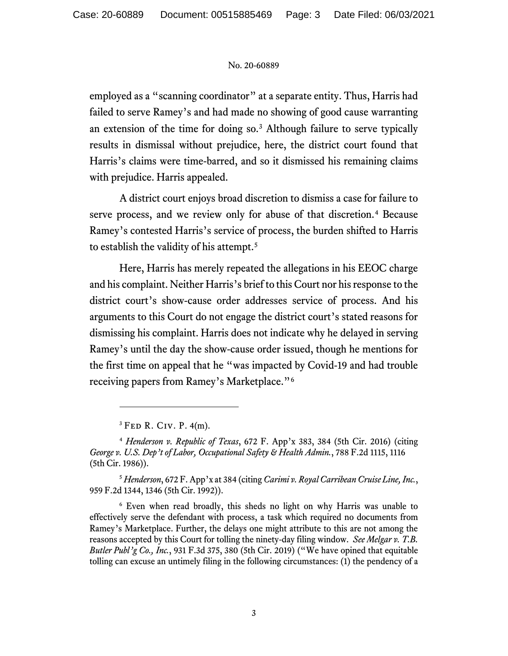## No. 20-60889

employed as a "scanning coordinator" at a separate entity. Thus, Harris had failed to serve Ramey's and had made no showing of good cause warranting an extension of the time for doing so.[3](#page-2-0) Although failure to serve typically results in dismissal without prejudice, here, the district court found that Harris's claims were time-barred, and so it dismissed his remaining claims with prejudice. Harris appealed.

A district court enjoys broad discretion to dismiss a case for failure to serve process, and we review only for abuse of that discretion.[4](#page-2-1) Because Ramey's contested Harris's service of process, the burden shifted to Harris to establish the validity of his attempt.<sup>[5](#page-2-2)</sup>

Here, Harris has merely repeated the allegations in his EEOC charge and his complaint. Neither Harris's brief to this Court nor his response to the district court's show-cause order addresses service of process. And his arguments to this Court do not engage the district court's stated reasons for dismissing his complaint. Harris does not indicate why he delayed in serving Ramey's until the day the show-cause order issued, though he mentions for the first time on appeal that he "was impacted by Covid-19 and had trouble receiving papers from Ramey's Marketplace."[6](#page-2-3)

 ${}^{3}$  FED R. Civ. P. 4(m).

<span id="page-2-2"></span><sup>5</sup> *Henderson*, 672 F. App'x at 384 (citing *Carimi v. Royal Carribean Cruise Line, Inc.*, 959 F.2d 1344, 1346 (5th Cir. 1992)).

<span id="page-2-3"></span><sup>6</sup> Even when read broadly, this sheds no light on why Harris was unable to effectively serve the defendant with process, a task which required no documents from Ramey's Marketplace. Further, the delays one might attribute to this are not among the reasons accepted by this Court for tolling the ninety-day filing window. *See Melgar v. T.B. Butler Publ'g Co., Inc.*, 931 F.3d 375, 380 (5th Cir. 2019) ("We have opined that equitable tolling can excuse an untimely filing in the following circumstances: (1) the pendency of a

<span id="page-2-1"></span><span id="page-2-0"></span><sup>4</sup> *Henderson v. Republic of Texas*, 672 F. App'x 383, 384 (5th Cir. 2016) (citing *George v. U.S. Dep't of Labor, Occupational Safety & Health Admin.*, 788 F.2d 1115, 1116 (5th Cir. 1986)).